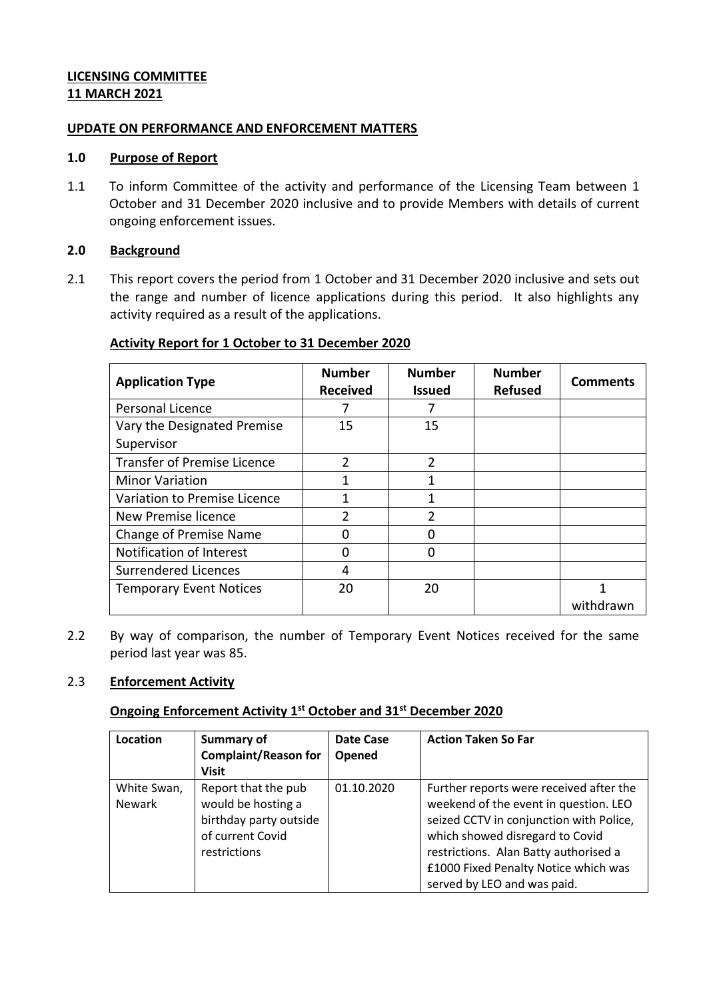# **LICENSING COMMITTEE 11 MARCH 2021**

#### **UPDATE ON PERFORMANCE AND ENFORCEMENT MATTERS**

#### **1.0 Purpose of Report**

1.1 To inform Committee of the activity and performance of the Licensing Team between 1 October and 31 December 2020 inclusive and to provide Members with details of current ongoing enforcement issues.

#### **2.0 Background**

2.1 This report covers the period from 1 October and 31 December 2020 inclusive and sets out the range and number of licence applications during this period. It also highlights any activity required as a result of the applications.

#### **Activity Report for 1 October to 31 December 2020**

| <b>Application Type</b>            | <b>Number</b><br><b>Received</b> | <b>Number</b><br><b>Issued</b> | <b>Number</b><br><b>Refused</b> | <b>Comments</b> |
|------------------------------------|----------------------------------|--------------------------------|---------------------------------|-----------------|
| Personal Licence                   |                                  |                                |                                 |                 |
| Vary the Designated Premise        | 15                               | 15                             |                                 |                 |
| Supervisor                         |                                  |                                |                                 |                 |
| <b>Transfer of Premise Licence</b> | 2                                | $\overline{2}$                 |                                 |                 |
| <b>Minor Variation</b>             |                                  | 1                              |                                 |                 |
| Variation to Premise Licence       |                                  | 1                              |                                 |                 |
| New Premise licence                | $\mathfrak z$                    | 2                              |                                 |                 |
| <b>Change of Premise Name</b>      | 0                                | ∩                              |                                 |                 |
| Notification of Interest           | 0                                | $\Omega$                       |                                 |                 |
| Surrendered Licences               | 4                                |                                |                                 |                 |
| <b>Temporary Event Notices</b>     | 20                               | 20                             |                                 |                 |
|                                    |                                  |                                |                                 | withdrawn       |

2.2 By way of comparison, the number of Temporary Event Notices received for the same period last year was 85.

### 2.3 **Enforcement Activity**

#### **Ongoing Enforcement Activity 1 st October and 31 st December 2020**

| Location                     | Summary of<br><b>Complaint/Reason for</b><br><b>Visit</b>                                               | Date Case<br>Opened | <b>Action Taken So Far</b>                                                                                                                                                                                                                                                     |
|------------------------------|---------------------------------------------------------------------------------------------------------|---------------------|--------------------------------------------------------------------------------------------------------------------------------------------------------------------------------------------------------------------------------------------------------------------------------|
| White Swan,<br><b>Newark</b> | Report that the pub<br>would be hosting a<br>birthday party outside<br>of current Covid<br>restrictions | 01.10.2020          | Further reports were received after the<br>weekend of the event in question. LEO<br>seized CCTV in conjunction with Police,<br>which showed disregard to Covid<br>restrictions. Alan Batty authorised a<br>£1000 Fixed Penalty Notice which was<br>served by LEO and was paid. |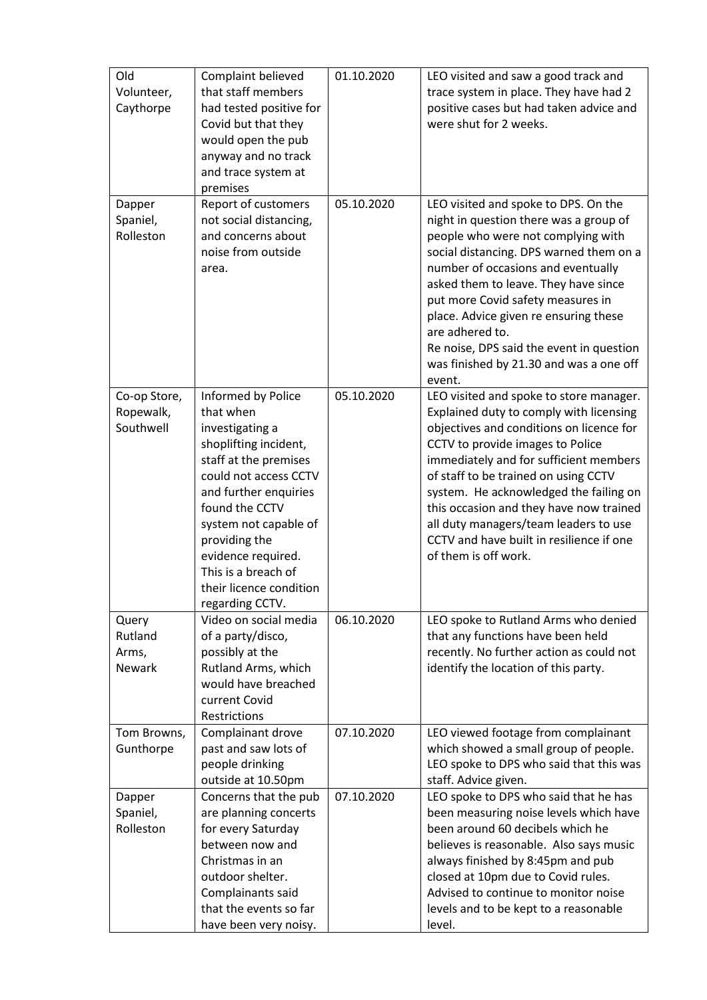| Old<br>Volunteer,<br>Caythorpe             | Complaint believed<br>that staff members<br>had tested positive for<br>Covid but that they<br>would open the pub<br>anyway and no track<br>and trace system at<br>premises                                                                                                                                    | 01.10.2020 | LEO visited and saw a good track and<br>trace system in place. They have had 2<br>positive cases but had taken advice and<br>were shut for 2 weeks.                                                                                                                                                                                                                                                                                                    |
|--------------------------------------------|---------------------------------------------------------------------------------------------------------------------------------------------------------------------------------------------------------------------------------------------------------------------------------------------------------------|------------|--------------------------------------------------------------------------------------------------------------------------------------------------------------------------------------------------------------------------------------------------------------------------------------------------------------------------------------------------------------------------------------------------------------------------------------------------------|
| Dapper<br>Spaniel,<br>Rolleston            | Report of customers<br>not social distancing,<br>and concerns about<br>noise from outside<br>area.                                                                                                                                                                                                            | 05.10.2020 | LEO visited and spoke to DPS. On the<br>night in question there was a group of<br>people who were not complying with<br>social distancing. DPS warned them on a<br>number of occasions and eventually<br>asked them to leave. They have since<br>put more Covid safety measures in<br>place. Advice given re ensuring these<br>are adhered to.<br>Re noise, DPS said the event in question<br>was finished by 21.30 and was a one off<br>event.        |
| Co-op Store,<br>Ropewalk,<br>Southwell     | Informed by Police<br>that when<br>investigating a<br>shoplifting incident,<br>staff at the premises<br>could not access CCTV<br>and further enquiries<br>found the CCTV<br>system not capable of<br>providing the<br>evidence required.<br>This is a breach of<br>their licence condition<br>regarding CCTV. | 05.10.2020 | LEO visited and spoke to store manager.<br>Explained duty to comply with licensing<br>objectives and conditions on licence for<br>CCTV to provide images to Police<br>immediately and for sufficient members<br>of staff to be trained on using CCTV<br>system. He acknowledged the failing on<br>this occasion and they have now trained<br>all duty managers/team leaders to use<br>CCTV and have built in resilience if one<br>of them is off work. |
| Query<br>Rutland<br>Arms,<br><b>Newark</b> | Video on social media<br>of a party/disco,<br>possibly at the<br>Rutland Arms, which<br>would have breached<br>current Covid<br>Restrictions                                                                                                                                                                  | 06.10.2020 | LEO spoke to Rutland Arms who denied<br>that any functions have been held<br>recently. No further action as could not<br>identify the location of this party.                                                                                                                                                                                                                                                                                          |
| Tom Browns,<br>Gunthorpe                   | Complainant drove<br>past and saw lots of<br>people drinking<br>outside at 10.50pm                                                                                                                                                                                                                            | 07.10.2020 | LEO viewed footage from complainant<br>which showed a small group of people.<br>LEO spoke to DPS who said that this was<br>staff. Advice given.                                                                                                                                                                                                                                                                                                        |
| Dapper<br>Spaniel,<br>Rolleston            | Concerns that the pub<br>are planning concerts<br>for every Saturday<br>between now and<br>Christmas in an<br>outdoor shelter.<br>Complainants said<br>that the events so far<br>have been very noisy.                                                                                                        | 07.10.2020 | LEO spoke to DPS who said that he has<br>been measuring noise levels which have<br>been around 60 decibels which he<br>believes is reasonable. Also says music<br>always finished by 8:45pm and pub<br>closed at 10pm due to Covid rules.<br>Advised to continue to monitor noise<br>levels and to be kept to a reasonable<br>level.                                                                                                                   |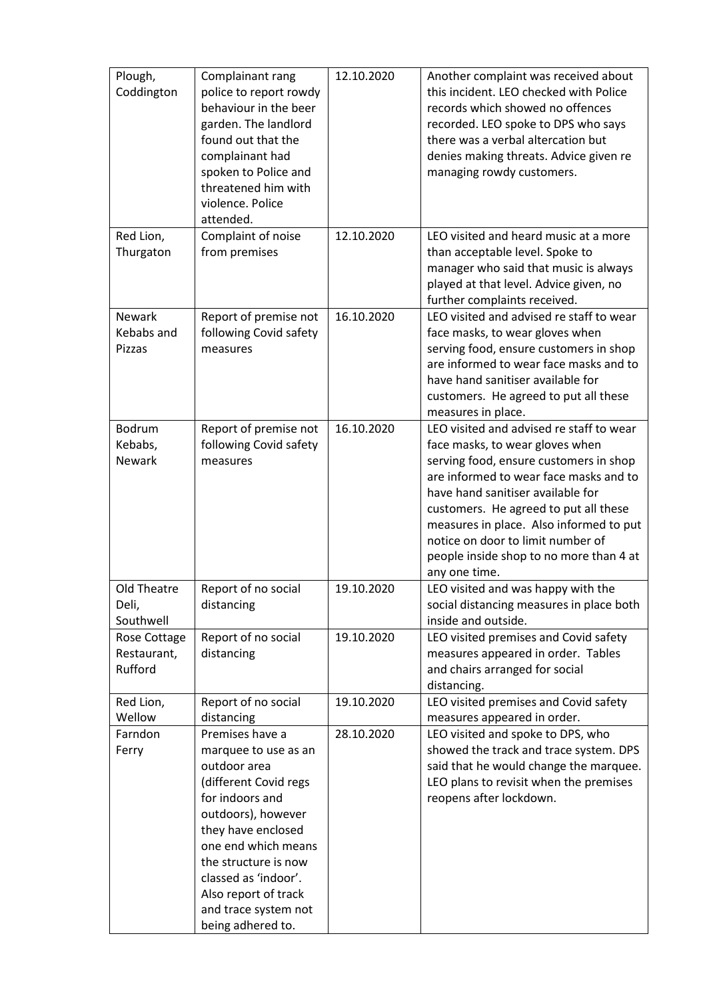| Plough,<br>Coddington                     | Complainant rang<br>police to report rowdy<br>behaviour in the beer<br>garden. The landlord<br>found out that the<br>complainant had<br>spoken to Police and<br>threatened him with<br>violence. Police<br>attended.                                                                        | 12.10.2020 | Another complaint was received about<br>this incident. LEO checked with Police<br>records which showed no offences<br>recorded. LEO spoke to DPS who says<br>there was a verbal altercation but<br>denies making threats. Advice given re<br>managing rowdy customers.                                                                                                                    |
|-------------------------------------------|---------------------------------------------------------------------------------------------------------------------------------------------------------------------------------------------------------------------------------------------------------------------------------------------|------------|-------------------------------------------------------------------------------------------------------------------------------------------------------------------------------------------------------------------------------------------------------------------------------------------------------------------------------------------------------------------------------------------|
| Red Lion,<br>Thurgaton                    | Complaint of noise<br>from premises                                                                                                                                                                                                                                                         | 12.10.2020 | LEO visited and heard music at a more<br>than acceptable level. Spoke to<br>manager who said that music is always<br>played at that level. Advice given, no<br>further complaints received.                                                                                                                                                                                               |
| <b>Newark</b><br>Kebabs and<br>Pizzas     | Report of premise not<br>following Covid safety<br>measures                                                                                                                                                                                                                                 | 16.10.2020 | LEO visited and advised re staff to wear<br>face masks, to wear gloves when<br>serving food, ensure customers in shop<br>are informed to wear face masks and to<br>have hand sanitiser available for<br>customers. He agreed to put all these<br>measures in place.                                                                                                                       |
| <b>Bodrum</b><br>Kebabs,<br><b>Newark</b> | Report of premise not<br>following Covid safety<br>measures                                                                                                                                                                                                                                 | 16.10.2020 | LEO visited and advised re staff to wear<br>face masks, to wear gloves when<br>serving food, ensure customers in shop<br>are informed to wear face masks and to<br>have hand sanitiser available for<br>customers. He agreed to put all these<br>measures in place. Also informed to put<br>notice on door to limit number of<br>people inside shop to no more than 4 at<br>any one time. |
| Old Theatre<br>Deli,<br>Southwell         | Report of no social<br>distancing                                                                                                                                                                                                                                                           | 19.10.2020 | LEO visited and was happy with the<br>social distancing measures in place both<br>inside and outside.                                                                                                                                                                                                                                                                                     |
| Rose Cottage<br>Restaurant,<br>Rufford    | Report of no social<br>distancing                                                                                                                                                                                                                                                           | 19.10.2020 | LEO visited premises and Covid safety<br>measures appeared in order. Tables<br>and chairs arranged for social<br>distancing.                                                                                                                                                                                                                                                              |
| Red Lion,<br>Wellow                       | Report of no social<br>distancing                                                                                                                                                                                                                                                           | 19.10.2020 | LEO visited premises and Covid safety<br>measures appeared in order.                                                                                                                                                                                                                                                                                                                      |
| Farndon<br>Ferry                          | Premises have a<br>marquee to use as an<br>outdoor area<br>(different Covid regs<br>for indoors and<br>outdoors), however<br>they have enclosed<br>one end which means<br>the structure is now<br>classed as 'indoor'.<br>Also report of track<br>and trace system not<br>being adhered to. | 28.10.2020 | LEO visited and spoke to DPS, who<br>showed the track and trace system. DPS<br>said that he would change the marquee.<br>LEO plans to revisit when the premises<br>reopens after lockdown.                                                                                                                                                                                                |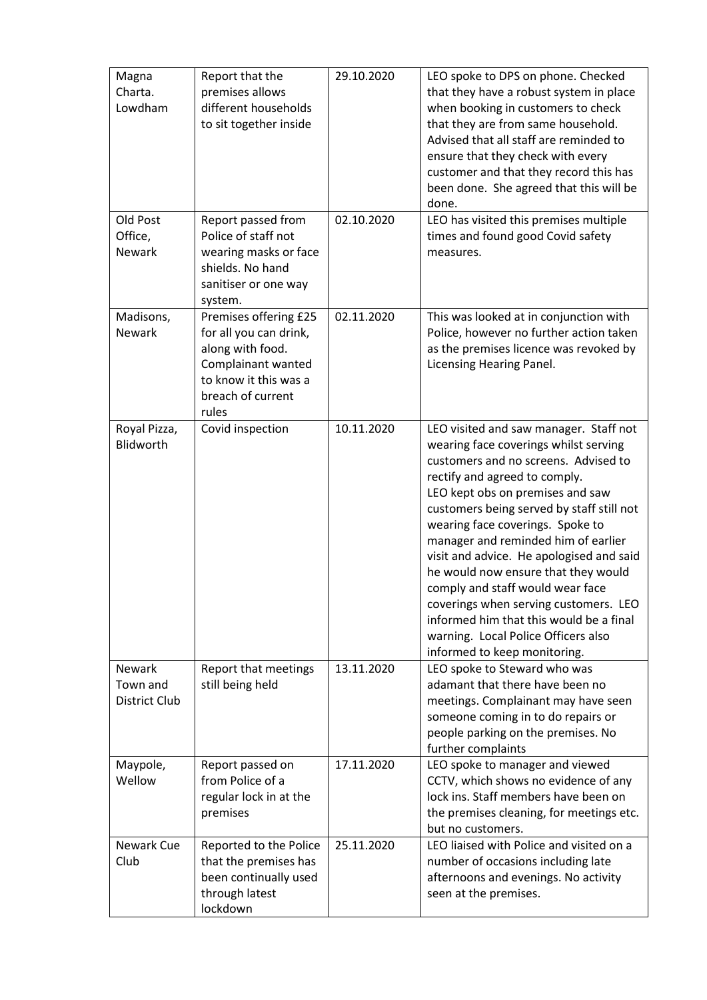| Magna<br>Charta.<br>Lowdham                       | Report that the<br>premises allows<br>different households<br>to sit together inside                                                             | 29.10.2020 | LEO spoke to DPS on phone. Checked<br>that they have a robust system in place<br>when booking in customers to check<br>that they are from same household.<br>Advised that all staff are reminded to<br>ensure that they check with every<br>customer and that they record this has<br>been done. She agreed that this will be<br>done.                                                                                                                                                                                                                                                                 |
|---------------------------------------------------|--------------------------------------------------------------------------------------------------------------------------------------------------|------------|--------------------------------------------------------------------------------------------------------------------------------------------------------------------------------------------------------------------------------------------------------------------------------------------------------------------------------------------------------------------------------------------------------------------------------------------------------------------------------------------------------------------------------------------------------------------------------------------------------|
| Old Post<br>Office,<br><b>Newark</b>              | Report passed from<br>Police of staff not<br>wearing masks or face<br>shields. No hand<br>sanitiser or one way<br>system.                        | 02.10.2020 | LEO has visited this premises multiple<br>times and found good Covid safety<br>measures.                                                                                                                                                                                                                                                                                                                                                                                                                                                                                                               |
| Madisons,<br>Newark                               | Premises offering £25<br>for all you can drink,<br>along with food.<br>Complainant wanted<br>to know it this was a<br>breach of current<br>rules | 02.11.2020 | This was looked at in conjunction with<br>Police, however no further action taken<br>as the premises licence was revoked by<br>Licensing Hearing Panel.                                                                                                                                                                                                                                                                                                                                                                                                                                                |
| Royal Pizza,<br>Blidworth                         | Covid inspection                                                                                                                                 | 10.11.2020 | LEO visited and saw manager. Staff not<br>wearing face coverings whilst serving<br>customers and no screens. Advised to<br>rectify and agreed to comply.<br>LEO kept obs on premises and saw<br>customers being served by staff still not<br>wearing face coverings. Spoke to<br>manager and reminded him of earlier<br>visit and advice. He apologised and said<br>he would now ensure that they would<br>comply and staff would wear face<br>coverings when serving customers. LEO<br>informed him that this would be a final<br>warning. Local Police Officers also<br>informed to keep monitoring. |
| <b>Newark</b><br>Town and<br><b>District Club</b> | Report that meetings<br>still being held                                                                                                         | 13.11.2020 | LEO spoke to Steward who was<br>adamant that there have been no<br>meetings. Complainant may have seen<br>someone coming in to do repairs or<br>people parking on the premises. No<br>further complaints                                                                                                                                                                                                                                                                                                                                                                                               |
| Maypole,<br>Wellow                                | Report passed on<br>from Police of a<br>regular lock in at the<br>premises                                                                       | 17.11.2020 | LEO spoke to manager and viewed<br>CCTV, which shows no evidence of any<br>lock ins. Staff members have been on<br>the premises cleaning, for meetings etc.<br>but no customers.                                                                                                                                                                                                                                                                                                                                                                                                                       |
| Newark Cue<br>Club                                | Reported to the Police<br>that the premises has<br>been continually used<br>through latest<br>lockdown                                           | 25.11.2020 | LEO liaised with Police and visited on a<br>number of occasions including late<br>afternoons and evenings. No activity<br>seen at the premises.                                                                                                                                                                                                                                                                                                                                                                                                                                                        |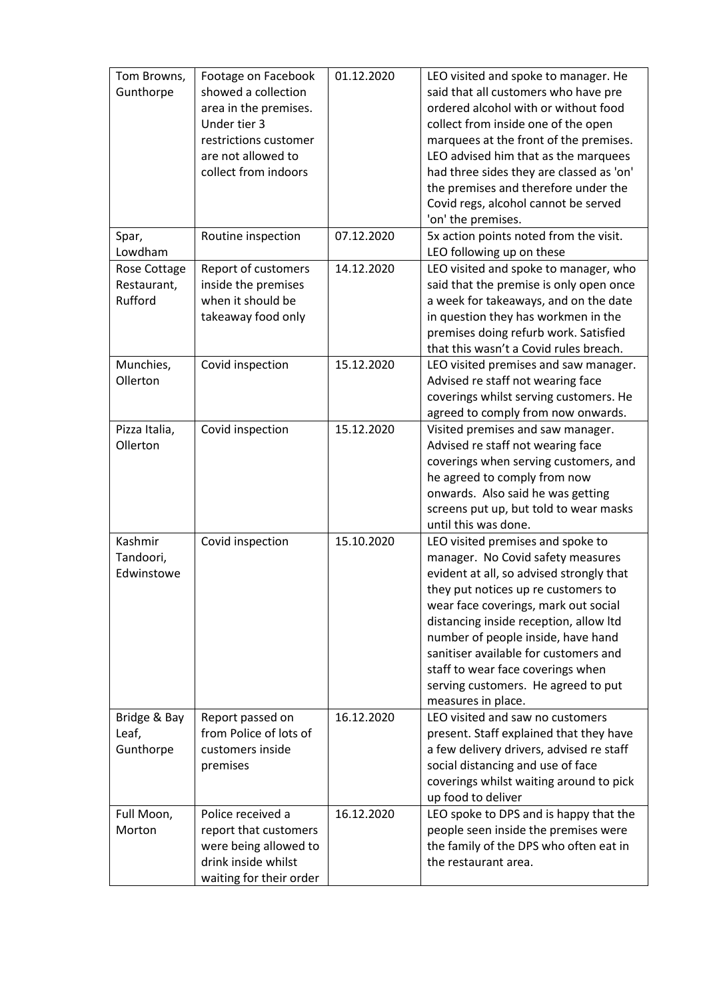| Tom Browns,<br>Gunthorpe               | Footage on Facebook<br>showed a collection<br>area in the premises.<br>Under tier 3<br>restrictions customer<br>are not allowed to<br>collect from indoors | 01.12.2020 | LEO visited and spoke to manager. He<br>said that all customers who have pre<br>ordered alcohol with or without food<br>collect from inside one of the open<br>marquees at the front of the premises.<br>LEO advised him that as the marquees<br>had three sides they are classed as 'on'<br>the premises and therefore under the<br>Covid regs, alcohol cannot be served<br>'on' the premises.                              |
|----------------------------------------|------------------------------------------------------------------------------------------------------------------------------------------------------------|------------|------------------------------------------------------------------------------------------------------------------------------------------------------------------------------------------------------------------------------------------------------------------------------------------------------------------------------------------------------------------------------------------------------------------------------|
| Spar,<br>Lowdham                       | Routine inspection                                                                                                                                         | 07.12.2020 | 5x action points noted from the visit.<br>LEO following up on these                                                                                                                                                                                                                                                                                                                                                          |
| Rose Cottage<br>Restaurant,<br>Rufford | Report of customers<br>inside the premises<br>when it should be<br>takeaway food only                                                                      | 14.12.2020 | LEO visited and spoke to manager, who<br>said that the premise is only open once<br>a week for takeaways, and on the date<br>in question they has workmen in the<br>premises doing refurb work. Satisfied<br>that this wasn't a Covid rules breach.                                                                                                                                                                          |
| Munchies,<br>Ollerton                  | Covid inspection                                                                                                                                           | 15.12.2020 | LEO visited premises and saw manager.<br>Advised re staff not wearing face<br>coverings whilst serving customers. He<br>agreed to comply from now onwards.                                                                                                                                                                                                                                                                   |
| Pizza Italia,<br>Ollerton              | Covid inspection                                                                                                                                           | 15.12.2020 | Visited premises and saw manager.<br>Advised re staff not wearing face<br>coverings when serving customers, and<br>he agreed to comply from now<br>onwards. Also said he was getting<br>screens put up, but told to wear masks<br>until this was done.                                                                                                                                                                       |
| Kashmir<br>Tandoori,<br>Edwinstowe     | Covid inspection                                                                                                                                           | 15.10.2020 | LEO visited premises and spoke to<br>manager. No Covid safety measures<br>evident at all, so advised strongly that<br>they put notices up re customers to<br>wear face coverings, mark out social<br>distancing inside reception, allow Itd<br>number of people inside, have hand<br>sanitiser available for customers and<br>staff to wear face coverings when<br>serving customers. He agreed to put<br>measures in place. |
| Bridge & Bay<br>Leaf,<br>Gunthorpe     | Report passed on<br>from Police of lots of<br>customers inside<br>premises                                                                                 | 16.12.2020 | LEO visited and saw no customers<br>present. Staff explained that they have<br>a few delivery drivers, advised re staff<br>social distancing and use of face<br>coverings whilst waiting around to pick<br>up food to deliver                                                                                                                                                                                                |
| Full Moon,<br>Morton                   | Police received a<br>report that customers<br>were being allowed to<br>drink inside whilst<br>waiting for their order                                      | 16.12.2020 | LEO spoke to DPS and is happy that the<br>people seen inside the premises were<br>the family of the DPS who often eat in<br>the restaurant area.                                                                                                                                                                                                                                                                             |